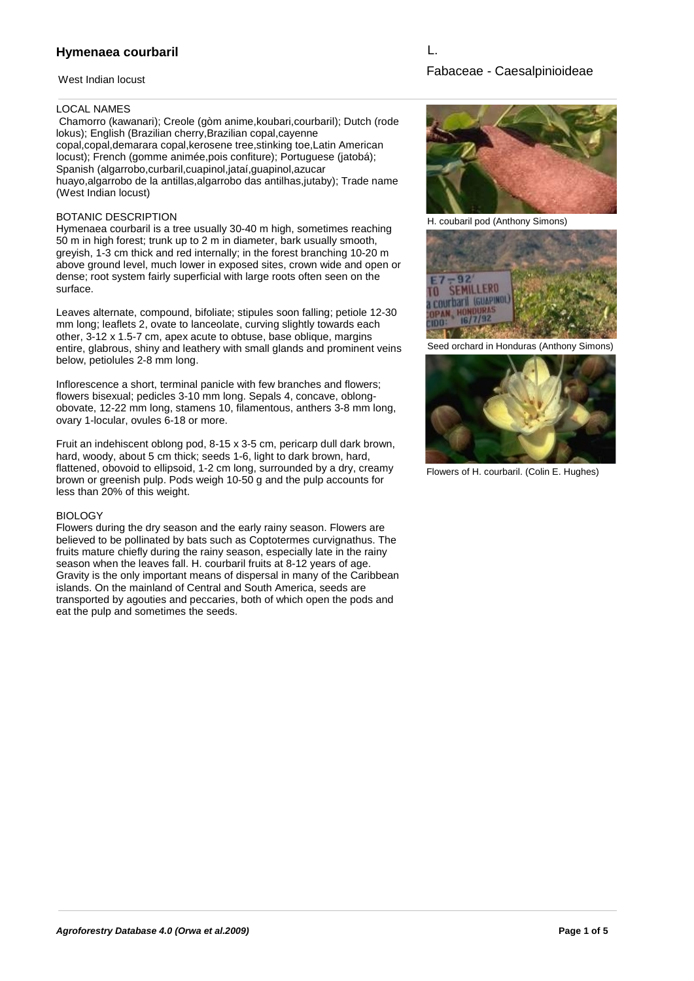# **Hymenaea courbaril**

### West Indian locust

## LOCAL NAMES

 Chamorro (kawanari); Creole (gòm anime,koubari,courbaril); Dutch (rode lokus); English (Brazilian cherry,Brazilian copal,cayenne copal,copal,demarara copal,kerosene tree,stinking toe,Latin American locust); French (gomme animée,pois confiture); Portuguese (jatobá); Spanish (algarrobo,curbaril,cuapinol,jataí,guapinol,azucar huayo,algarrobo de la antillas,algarrobo das antilhas,jutaby); Trade name (West Indian locust)

### BOTANIC DESCRIPTION

Hymenaea courbaril is a tree usually 30-40 m high, sometimes reaching 50 m in high forest; trunk up to 2 m in diameter, bark usually smooth, greyish, 1-3 cm thick and red internally; in the forest branching 10-20 m above ground level, much lower in exposed sites, crown wide and open or dense; root system fairly superficial with large roots often seen on the surface.

Leaves alternate, compound, bifoliate; stipules soon falling; petiole 12-30 mm long; leaflets 2, ovate to lanceolate, curving slightly towards each other, 3-12 x 1.5-7 cm, apex acute to obtuse, base oblique, margins entire, glabrous, shiny and leathery with small glands and prominent veins below, petiolules 2-8 mm long.

Inflorescence a short, terminal panicle with few branches and flowers; flowers bisexual; pedicles 3-10 mm long. Sepals 4, concave, oblongobovate, 12-22 mm long, stamens 10, filamentous, anthers 3-8 mm long, ovary 1-locular, ovules 6-18 or more.

Fruit an indehiscent oblong pod, 8-15 x 3-5 cm, pericarp dull dark brown, hard, woody, about 5 cm thick; seeds 1-6, light to dark brown, hard, flattened, obovoid to ellipsoid, 1-2 cm long, surrounded by a dry, creamy brown or greenish pulp. Pods weigh 10-50 g and the pulp accounts for less than 20% of this weight.

### **BIOLOGY**

Flowers during the dry season and the early rainy season. Flowers are believed to be pollinated by bats such as Coptotermes curvignathus. The fruits mature chiefly during the rainy season, especially late in the rainy season when the leaves fall. H. courbaril fruits at 8-12 years of age. Gravity is the only important means of dispersal in many of the Caribbean islands. On the mainland of Central and South America, seeds are transported by agouties and peccaries, both of which open the pods and eat the pulp and sometimes the seeds.

L.



H. coubaril pod (Anthony Simons)



Seed orchard in Honduras (Anthony Simons)



Flowers of H. courbaril. (Colin E. Hughes)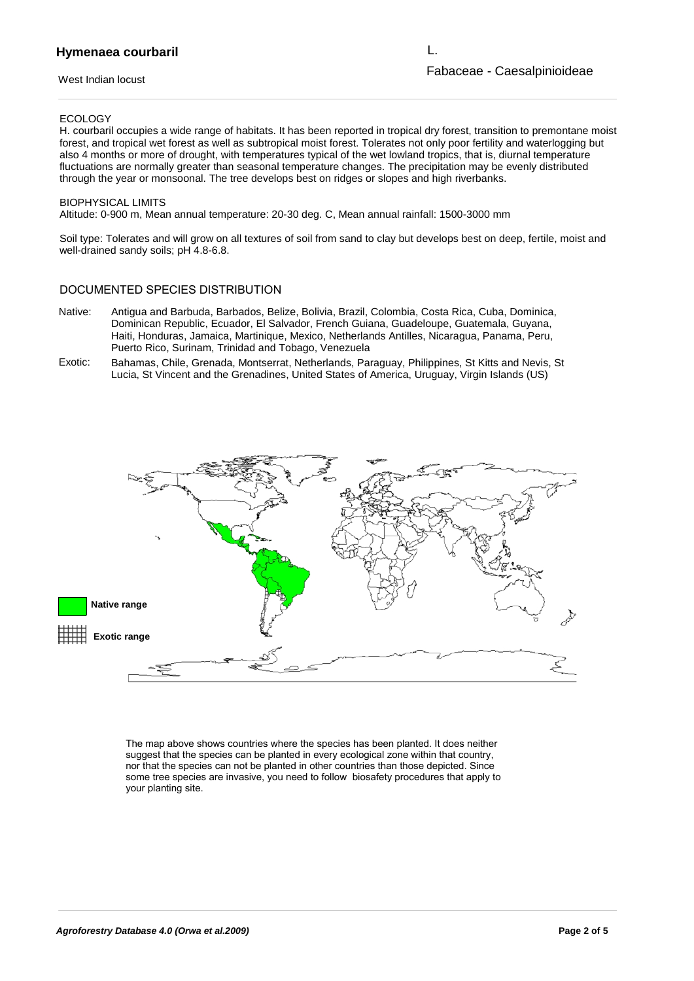## **Hymenaea courbaril**

### West Indian locust

Fabaceae - Caesalpinioideae L.

### ECOLOGY

H. courbaril occupies a wide range of habitats. It has been reported in tropical dry forest, transition to premontane moist forest, and tropical wet forest as well as subtropical moist forest. Tolerates not only poor fertility and waterlogging but also 4 months or more of drought, with temperatures typical of the wet lowland tropics, that is, diurnal temperature fluctuations are normally greater than seasonal temperature changes. The precipitation may be evenly distributed through the year or monsoonal. The tree develops best on ridges or slopes and high riverbanks.

### BIOPHYSICAL LIMITS

Altitude: 0-900 m, Mean annual temperature: 20-30 deg. C, Mean annual rainfall: 1500-3000 mm

Soil type: Tolerates and will grow on all textures of soil from sand to clay but develops best on deep, fertile, moist and well-drained sandy soils; pH 4.8-6.8.

## DOCUMENTED SPECIES DISTRIBUTION

- Antigua and Barbuda, Barbados, Belize, Bolivia, Brazil, Colombia, Costa Rica, Cuba, Dominica, Native: Dominican Republic, Ecuador, El Salvador, French Guiana, Guadeloupe, Guatemala, Guyana, Haiti, Honduras, Jamaica, Martinique, Mexico, Netherlands Antilles, Nicaragua, Panama, Peru, Puerto Rico, Surinam, Trinidad and Tobago, Venezuela
- Exotic: Bahamas, Chile, Grenada, Montserrat, Netherlands, Paraguay, Philippines, St Kitts and Nevis, St Lucia, St Vincent and the Grenadines, United States of America, Uruguay, Virgin Islands (US)



The map above shows countries where the species has been planted. It does neither suggest that the species can be planted in every ecological zone within that country, nor that the species can not be planted in other countries than those depicted. Since some tree species are invasive, you need to follow biosafety procedures that apply to your planting site.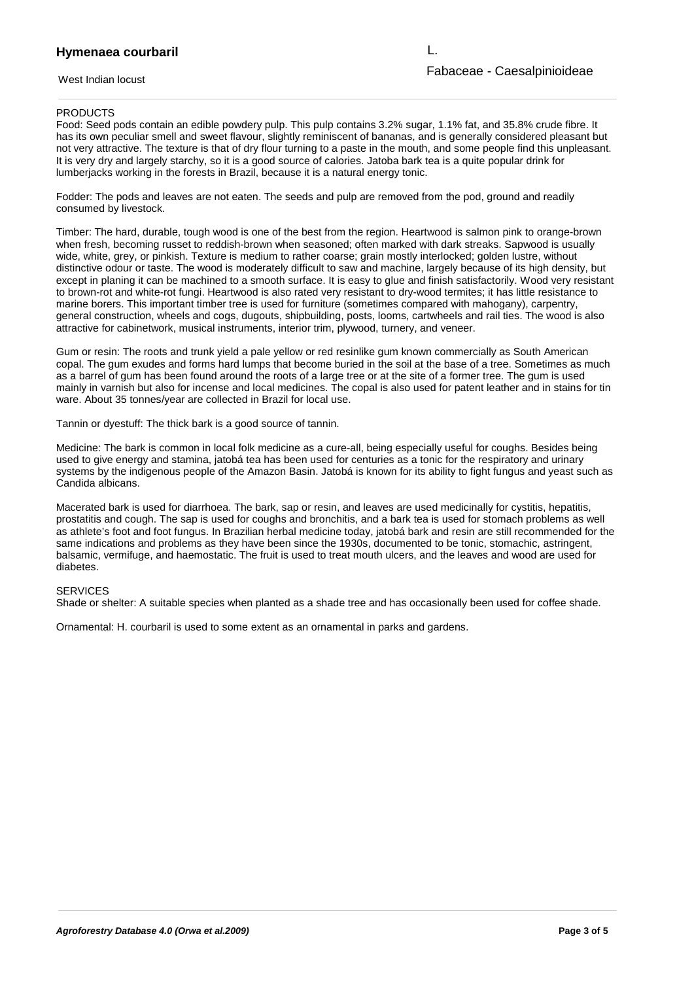#### **Hymenaea courbaril** nor that the species can not be planted in other countries than those depicted. Since depicted in other countries than those depicted in other countries than those depicted. Since depicted in other countries than those dep

West Indian locust

L.

### **PRODUCTS**

Food: Seed pods contain an edible powdery pulp. This pulp contains 3.2% sugar, 1.1% fat, and 35.8% crude fibre. It has its own peculiar smell and sweet flavour, slightly reminiscent of bananas, and is generally considered pleasant but not very attractive. The texture is that of dry flour turning to a paste in the mouth, and some people find this unpleasant. It is very dry and largely starchy, so it is a good source of calories. Jatoba bark tea is a quite popular drink for lumberjacks working in the forests in Brazil, because it is a natural energy tonic.

Fodder: The pods and leaves are not eaten. The seeds and pulp are removed from the pod, ground and readily consumed by livestock.

Timber: The hard, durable, tough wood is one of the best from the region. Heartwood is salmon pink to orange-brown when fresh, becoming russet to reddish-brown when seasoned; often marked with dark streaks. Sapwood is usually wide, white, grey, or pinkish. Texture is medium to rather coarse; grain mostly interlocked; golden lustre, without distinctive odour or taste. The wood is moderately difficult to saw and machine, largely because of its high density, but except in planing it can be machined to a smooth surface. It is easy to glue and finish satisfactorily. Wood very resistant to brown-rot and white-rot fungi. Heartwood is also rated very resistant to dry-wood termites; it has little resistance to marine borers. This important timber tree is used for furniture (sometimes compared with mahogany), carpentry, general construction, wheels and cogs, dugouts, shipbuilding, posts, looms, cartwheels and rail ties. The wood is also attractive for cabinetwork, musical instruments, interior trim, plywood, turnery, and veneer.

Gum or resin: The roots and trunk yield a pale yellow or red resinlike gum known commercially as South American copal. The gum exudes and forms hard lumps that become buried in the soil at the base of a tree. Sometimes as much as a barrel of gum has been found around the roots of a large tree or at the site of a former tree. The gum is used mainly in varnish but also for incense and local medicines. The copal is also used for patent leather and in stains for tin ware. About 35 tonnes/year are collected in Brazil for local use.

Tannin or dyestuff: The thick bark is a good source of tannin.

Medicine: The bark is common in local folk medicine as a cure-all, being especially useful for coughs. Besides being used to give energy and stamina, jatobá tea has been used for centuries as a tonic for the respiratory and urinary systems by the indigenous people of the Amazon Basin. Jatobá is known for its ability to fight fungus and yeast such as Candida albicans.

Macerated bark is used for diarrhoea. The bark, sap or resin, and leaves are used medicinally for cystitis, hepatitis, prostatitis and cough. The sap is used for coughs and bronchitis, and a bark tea is used for stomach problems as well as athlete's foot and foot fungus. In Brazilian herbal medicine today, jatobá bark and resin are still recommended for the same indications and problems as they have been since the 1930s, documented to be tonic, stomachic, astringent, balsamic, vermifuge, and haemostatic. The fruit is used to treat mouth ulcers, and the leaves and wood are used for diabetes.

### **SERVICES**

Shade or shelter: A suitable species when planted as a shade tree and has occasionally been used for coffee shade.

Ornamental: H. courbaril is used to some extent as an ornamental in parks and gardens.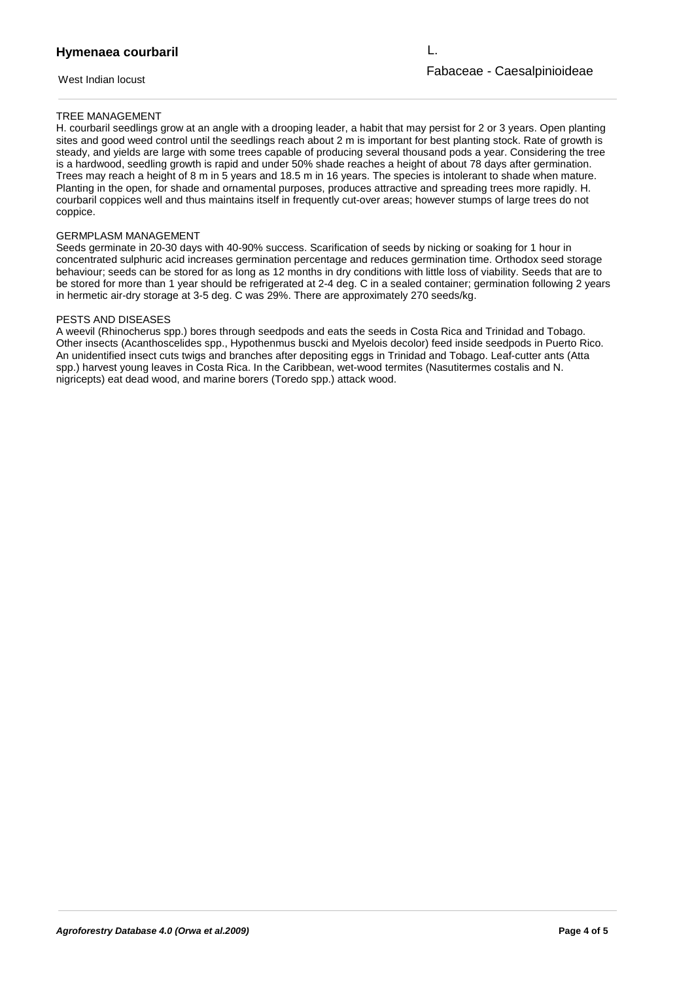West Indian locust

L.

# TREE MANAGEMENT

H. courbaril seedlings grow at an angle with a drooping leader, a habit that may persist for 2 or 3 years. Open planting sites and good weed control until the seedlings reach about 2 m is important for best planting stock. Rate of growth is steady, and yields are large with some trees capable of producing several thousand pods a year. Considering the tree is a hardwood, seedling growth is rapid and under 50% shade reaches a height of about 78 days after germination. Trees may reach a height of 8 m in 5 years and 18.5 m in 16 years. The species is intolerant to shade when mature. Planting in the open, for shade and ornamental purposes, produces attractive and spreading trees more rapidly. H. courbaril coppices well and thus maintains itself in frequently cut-over areas; however stumps of large trees do not coppice.

### GERMPLASM MANAGEMENT

Seeds germinate in 20-30 days with 40-90% success. Scarification of seeds by nicking or soaking for 1 hour in concentrated sulphuric acid increases germination percentage and reduces germination time. Orthodox seed storage behaviour; seeds can be stored for as long as 12 months in dry conditions with little loss of viability. Seeds that are to be stored for more than 1 year should be refrigerated at 2-4 deg. C in a sealed container; germination following 2 years in hermetic air-dry storage at 3-5 deg. C was 29%. There are approximately 270 seeds/kg.

### PESTS AND DISEASES

A weevil (Rhinocherus spp.) bores through seedpods and eats the seeds in Costa Rica and Trinidad and Tobago. Other insects (Acanthoscelides spp., Hypothenmus buscki and Myelois decolor) feed inside seedpods in Puerto Rico. An unidentified insect cuts twigs and branches after depositing eggs in Trinidad and Tobago. Leaf-cutter ants (Atta spp.) harvest young leaves in Costa Rica. In the Caribbean, wet-wood termites (Nasutitermes costalis and N. nigricepts) eat dead wood, and marine borers (Toredo spp.) attack wood.